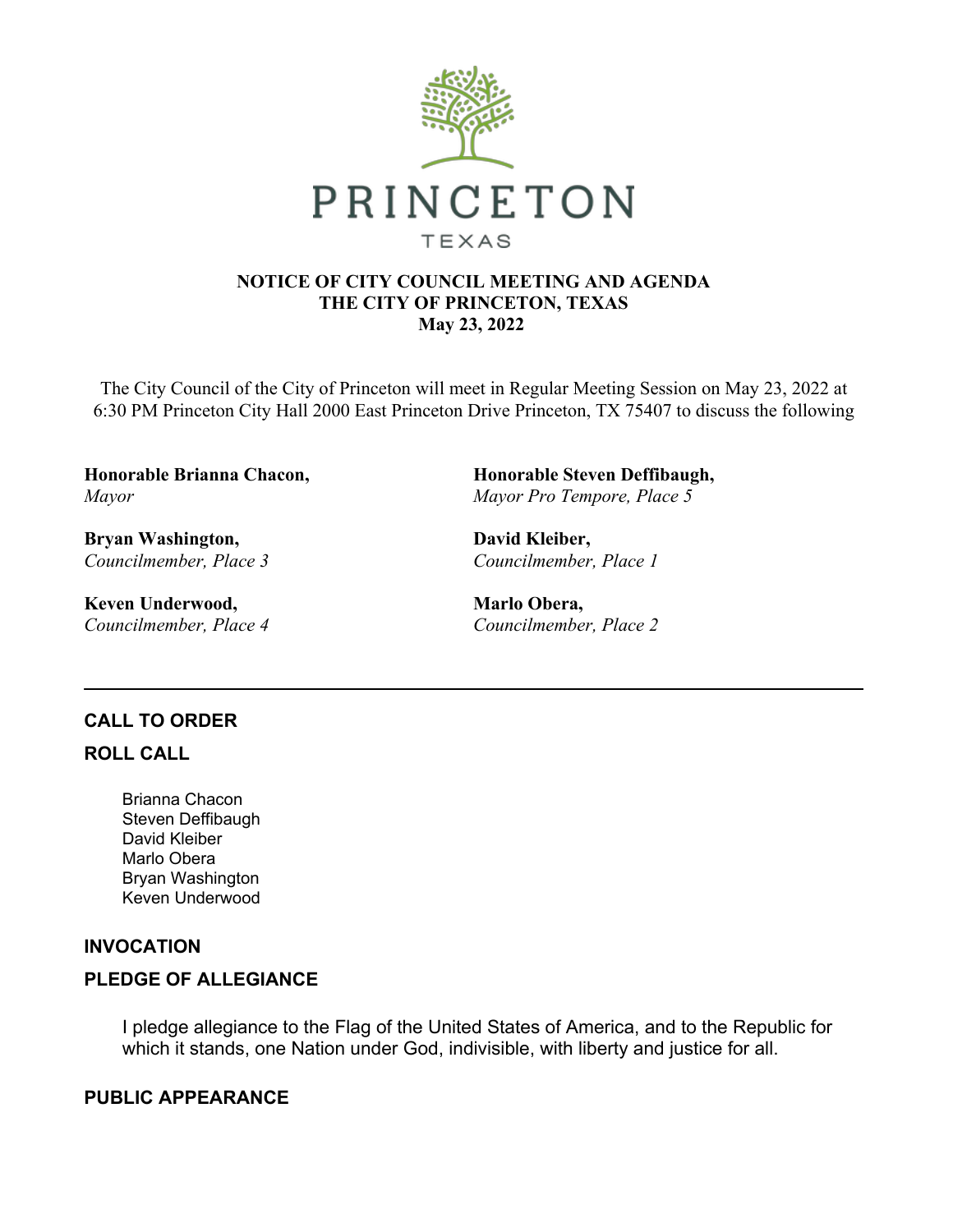

#### **NOTICE OF CITY COUNCIL MEETING AND AGENDA THE CITY OF PRINCETON, TEXAS May 23, 2022**

The City Council of the City of Princeton will meet in Regular Meeting Session on May 23, 2022 at 6:30 PM Princeton City Hall 2000 East Princeton Drive Princeton, TX 75407 to discuss the following

**Honorable Brianna Chacon,**  *Mayor*

**Bryan Washington,**  *Councilmember, Place 3*

**Keven Underwood,**  *Councilmember, Place 4* **Honorable Steven Deffibaugh,**  *Mayor Pro Tempore, Place 5*

**David Kleiber,**  *Councilmember, Place 1*

**Marlo Obera,**  *Councilmember, Place 2*

## **CALL TO ORDER**

## **ROLL CALL**

Brianna Chacon Steven Deffibaugh David Kleiber Marlo Obera Bryan Washington Keven Underwood

## **INVOCATION**

## **PLEDGE OF ALLEGIANCE**

I pledge allegiance to the Flag of the United States of America, and to the Republic for which it stands, one Nation under God, indivisible, with liberty and justice for all.

## **PUBLIC APPEARANCE**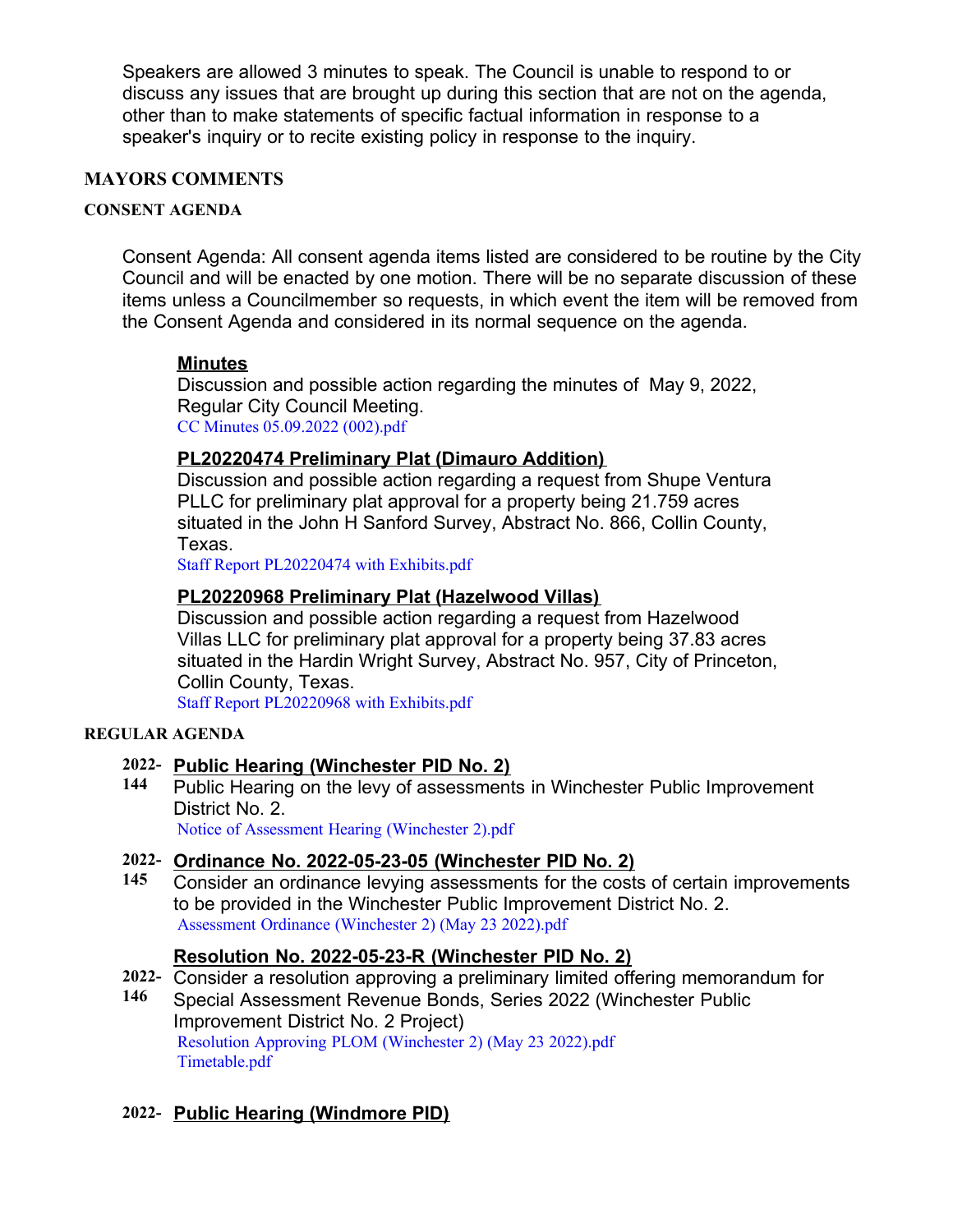Speakers are allowed 3 minutes to speak. The Council is unable to respond to or discuss any issues that are brought up during this section that are not on the agenda, other than to make statements of specific factual information in response to a speaker's inquiry or to recite existing policy in response to the inquiry.

## **MAYORS COMMENTS**

#### **CONSENT AGENDA**

Consent Agenda: All consent agenda items listed are considered to be routine by the City Council and will be enacted by one motion. There will be no separate discussion of these items unless a Councilmember so requests, in which event the item will be removed from the Consent Agenda and considered in its normal sequence on the agenda.

## **Minutes**

Discussion and possible action regarding the minutes of May 9, 2022, Regular City Council Meeting. [CC Minutes 05.09.2022 \(002\).pdf](https://legistarweb-production.s3.amazonaws.com/uploads/attachment/pdf/1389069/CC_Minutes_05.09.2022__002_.pdf)

#### **PL20220474 Preliminary Plat (Dimauro Addition)**

Discussion and possible action regarding a request from Shupe Ventura PLLC for preliminary plat approval for a property being 21.759 acres situated in the John H Sanford Survey, Abstract No. 866, Collin County, Texas.

[Staff Report PL20220474 with Exhibits.pdf](https://legistarweb-production.s3.amazonaws.com/uploads/attachment/pdf/1387061/Staff_Report_PL20220474_with_Exhibits.pdf)

#### **PL20220968 Preliminary Plat (Hazelwood Villas)**

Discussion and possible action regarding a request from Hazelwood Villas LLC for preliminary plat approval for a property being 37.83 acres situated in the Hardin Wright Survey, Abstract No. 957, City of Princeton, Collin County, Texas.

[Staff Report PL20220968 with Exhibits.pdf](https://legistarweb-production.s3.amazonaws.com/uploads/attachment/pdf/1387070/Staff_Report_PL20220968_with_Exhibits.pdf)

#### **REGULAR AGENDA**

#### **2022- Public Hearing (Winchester PID No. 2)**

**144** Public Hearing on the levy of assessments in Winchester Public Improvement District No. 2.

[Notice of Assessment Hearing \(Winchester 2\).pdf](https://legistarweb-production.s3.amazonaws.com/uploads/attachment/pdf/1388992/Notice_of_Assessment_Hearing__Winchester_2_.pdf)

#### **2022- Ordinance No. 2022-05-23-05 (Winchester PID No. 2)**

**145** Consider an ordinance levying assessments for the costs of certain improvements to be provided in the Winchester Public Improvement District No. 2. [Assessment Ordinance \(Winchester 2\) \(May 23 2022\).pdf](https://legistarweb-production.s3.amazonaws.com/uploads/attachment/pdf/1389005/Assessment_Ordinance__Winchester_2___May_23_2022_.pdf)

#### **Resolution No. 2022-05-23-R (Winchester PID No. 2)**

- **2022-** Consider a resolution approving a preliminary limited offering memorandum for
- **146** Special Assessment Revenue Bonds, Series 2022 (Winchester Public Improvement District No. 2 Project) [Resolution Approving PLOM \(Winchester 2\) \(May 23 2022\).pdf](https://legistarweb-production.s3.amazonaws.com/uploads/attachment/pdf/1389011/Resolution_Approving_PLOM__Winchester_2___May_23_2022_.pdf) [Timetable.pdf](https://legistarweb-production.s3.amazonaws.com/uploads/attachment/pdf/1389036/Timetable.pdf)

## **2022- Public Hearing (Windmore PID)**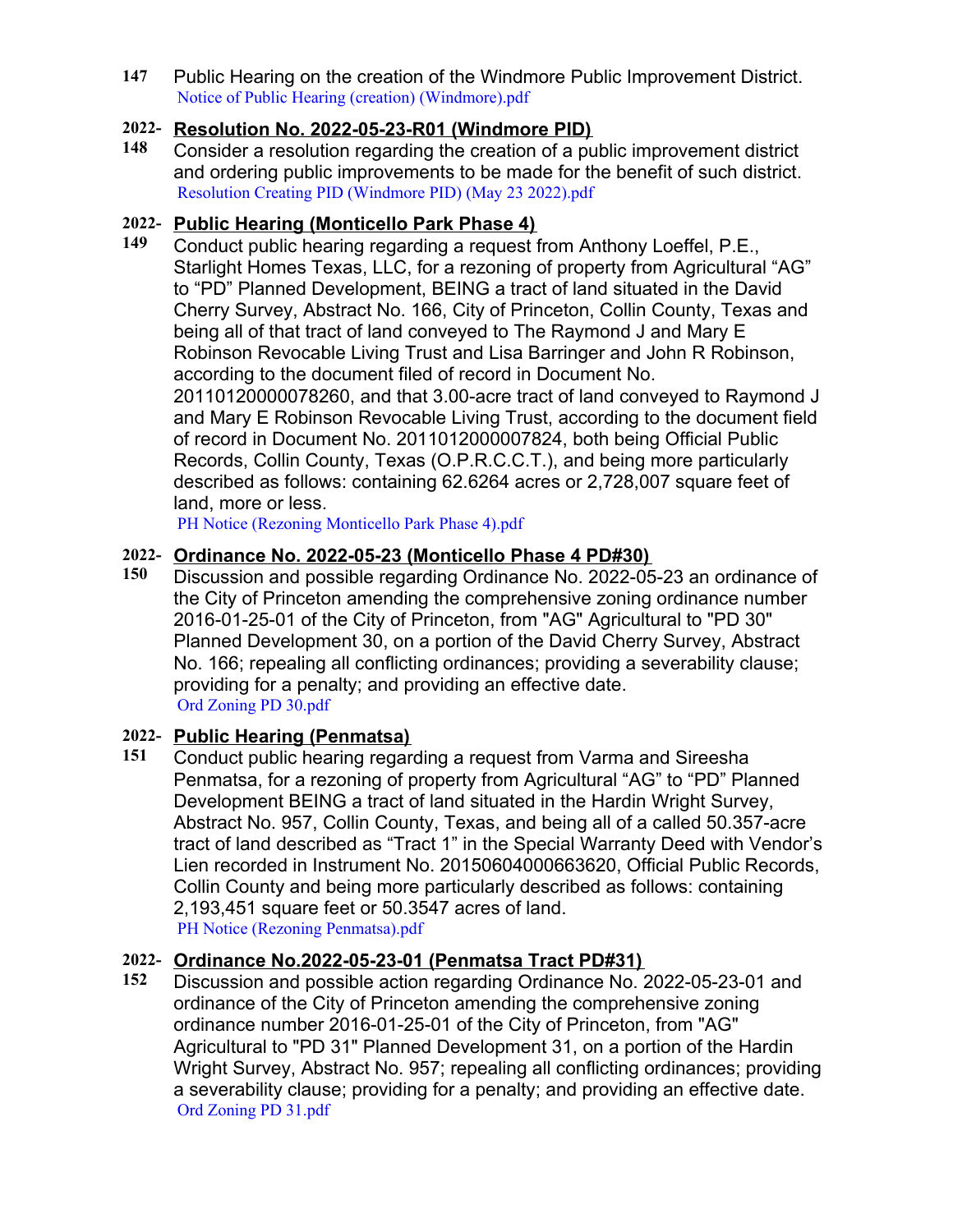**147** Public Hearing on the creation of the Windmore Public Improvement District. [Notice of Public Hearing \(creation\) \(Windmore\).pdf](https://legistarweb-production.s3.amazonaws.com/uploads/attachment/pdf/1388991/Notice_of_Public_Hearing__creation___Windmore_.pdf)

## **2022- Resolution No. 2022-05-23-R01 (Windmore PID)**

**148** Consider a resolution regarding the creation of a public improvement district and ordering public improvements to be made for the benefit of such district. [Resolution Creating PID \(Windmore PID\) \(May 23 2022\).pdf](https://legistarweb-production.s3.amazonaws.com/uploads/attachment/pdf/1389009/Resolution_Creating_PID__Windmore_PID___May_23_2022_.pdf)

## **2022- Public Hearing (Monticello Park Phase 4)**

**149** Conduct public hearing regarding a request from Anthony Loeffel, P.E., Starlight Homes Texas, LLC, for a rezoning of property from Agricultural "AG" to "PD" Planned Development, BEING a tract of land situated in the David Cherry Survey, Abstract No. 166, City of Princeton, Collin County, Texas and being all of that tract of land conveyed to The Raymond J and Mary E Robinson Revocable Living Trust and Lisa Barringer and John R Robinson, according to the document filed of record in Document No. 20110120000078260, and that 3.00-acre tract of land conveyed to Raymond J and Mary E Robinson Revocable Living Trust, according to the document field of record in Document No. 2011012000007824, both being Official Public Records, Collin County, Texas (O.P.R.C.C.T.), and being more particularly described as follows: containing 62.6264 acres or 2,728,007 square feet of land, more or less.

[PH Notice \(Rezoning Monticello Park Phase 4\).pdf](https://legistarweb-production.s3.amazonaws.com/uploads/attachment/pdf/1388938/PH_Notice__Rezoning_Monticello_Park_Phase_4_.pdf)

## **2022- Ordinance No. 2022-05-23 (Monticello Phase 4 PD#30)**

**150** Discussion and possible regarding Ordinance No. 2022-05-23 an ordinance of the City of Princeton amending the comprehensive zoning ordinance number 2016-01-25-01 of the City of Princeton, from "AG" Agricultural to "PD 30" Planned Development 30, on a portion of the David Cherry Survey, Abstract No. 166; repealing all conflicting ordinances; providing a severability clause; providing for a penalty; and providing an effective date. [Ord Zoning PD 30.pdf](https://legistarweb-production.s3.amazonaws.com/uploads/attachment/pdf/1386350/Ord_Zoning_PD_30.pdf)

# **2022- Public Hearing (Penmatsa)**

**151** Conduct public hearing regarding a request from Varma and Sireesha Penmatsa, for a rezoning of property from Agricultural "AG" to "PD" Planned Development BEING a tract of land situated in the Hardin Wright Survey, Abstract No. 957, Collin County, Texas, and being all of a called 50.357-acre tract of land described as "Tract 1" in the Special Warranty Deed with Vendor's Lien recorded in Instrument No. 20150604000663620, Official Public Records, Collin County and being more particularly described as follows: containing 2,193,451 square feet or 50.3547 acres of land. [PH Notice \(Rezoning Penmatsa\).pdf](https://legistarweb-production.s3.amazonaws.com/uploads/attachment/pdf/1388941/PH_Notice__Rezoning_Penmatsa_.pdf)

## **2022- Ordinance No.2022-05-23-01 (Penmatsa Tract PD#31)**

**152** Discussion and possible action regarding Ordinance No. 2022-05-23-01 and ordinance of the City of Princeton amending the comprehensive zoning ordinance number 2016-01-25-01 of the City of Princeton, from "AG" Agricultural to "PD 31" Planned Development 31, on a portion of the Hardin Wright Survey, Abstract No. 957; repealing all conflicting ordinances; providing a severability clause; providing for a penalty; and providing an effective date. [Ord Zoning PD 31.pdf](https://legistarweb-production.s3.amazonaws.com/uploads/attachment/pdf/1386995/Ord_Zoning_PD_31.pdf)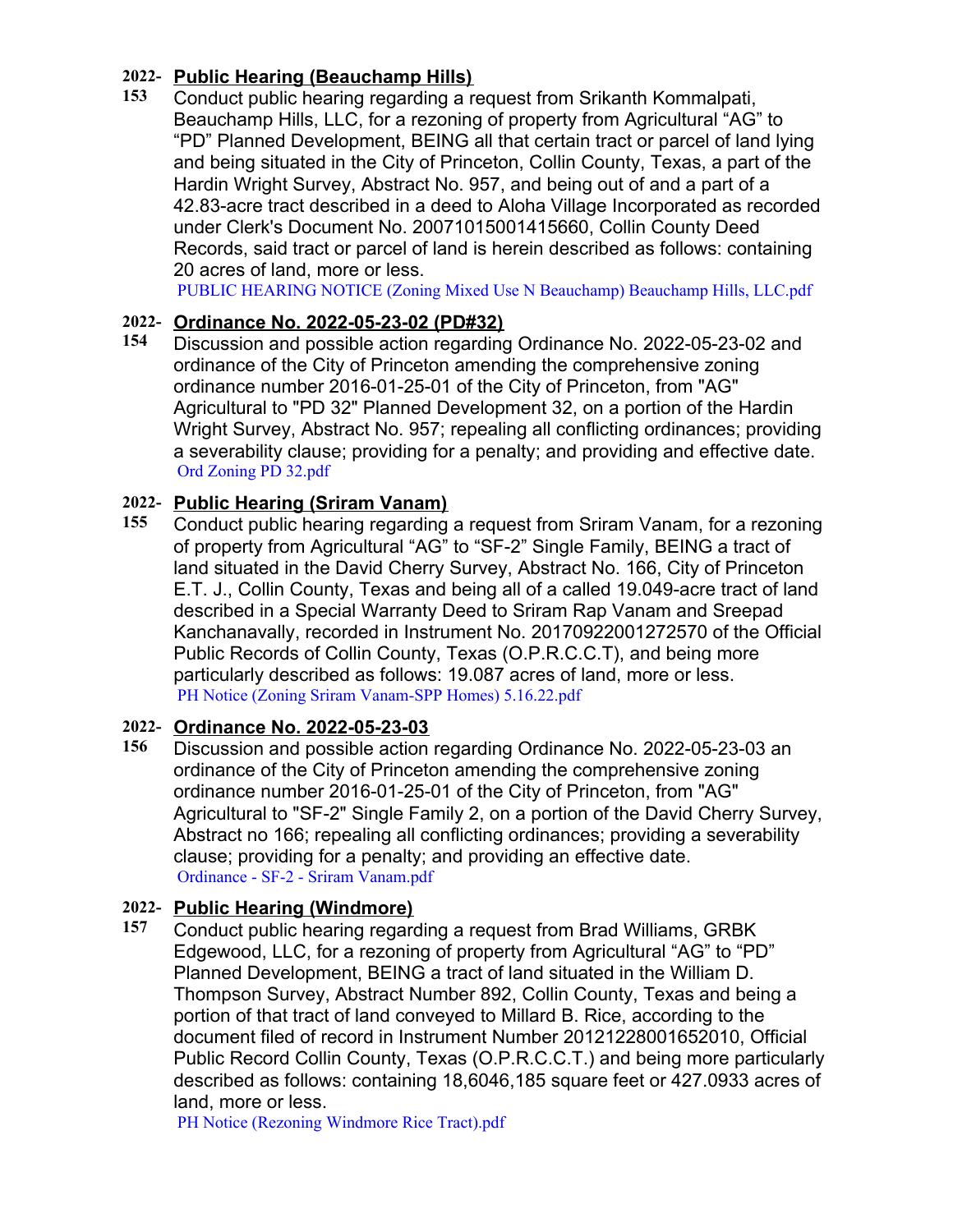# **2022- Public Hearing (Beauchamp Hills)**

**153** Conduct public hearing regarding a request from Srikanth Kommalpati, Beauchamp Hills, LLC, for a rezoning of property from Agricultural "AG" to "PD" Planned Development, BEING all that certain tract or parcel of land lying and being situated in the City of Princeton, Collin County, Texas, a part of the Hardin Wright Survey, Abstract No. 957, and being out of and a part of a 42.83-acre tract described in a deed to Aloha Village Incorporated as recorded under Clerk's Document No. 20071015001415660, Collin County Deed Records, said tract or parcel of land is herein described as follows: containing 20 acres of land, more or less.

[PUBLIC HEARING NOTICE \(Zoning Mixed Use N Beauchamp\) Beauchamp Hills, LLC.pdf](https://legistarweb-production.s3.amazonaws.com/uploads/attachment/pdf/1388960/PUBLIC_HEARING_NOTICE__Zoning_Mixed_Use_N_Beauchamp__Beauchamp_Hills__LLC.pdf)

# **2022- Ordinance No. 2022-05-23-02 (PD#32)**

**154** Discussion and possible action regarding Ordinance No. 2022-05-23-02 and ordinance of the City of Princeton amending the comprehensive zoning ordinance number 2016-01-25-01 of the City of Princeton, from "AG" Agricultural to "PD 32" Planned Development 32, on a portion of the Hardin Wright Survey, Abstract No. 957; repealing all conflicting ordinances; providing a severability clause; providing for a penalty; and providing and effective date. [Ord Zoning PD 32.pdf](https://legistarweb-production.s3.amazonaws.com/uploads/attachment/pdf/1386996/Ord_Zoning_PD_32.pdf)

# **2022- Public Hearing (Sriram Vanam)**

**155** Conduct public hearing regarding a request from Sriram Vanam, for a rezoning of property from Agricultural "AG" to "SF-2" Single Family, BEING a tract of land situated in the David Cherry Survey, Abstract No. 166, City of Princeton E.T. J., Collin County, Texas and being all of a called 19.049-acre tract of land described in a Special Warranty Deed to Sriram Rap Vanam and Sreepad Kanchanavally, recorded in Instrument No. 20170922001272570 of the Official Public Records of Collin County, Texas (O.P.R.C.C.T), and being more particularly described as follows: 19.087 acres of land, more or less. [PH Notice \(Zoning Sriram Vanam-SPP Homes\) 5.16.22.pdf](https://legistarweb-production.s3.amazonaws.com/uploads/attachment/pdf/1388975/PH_Notice__Zoning_Sriram_Vanam-SPP_Homes__5.16.22.pdf)

# **2022- Ordinance No. 2022-05-23-03**

**156** Discussion and possible action regarding Ordinance No. 2022-05-23-03 an ordinance of the City of Princeton amending the comprehensive zoning ordinance number 2016-01-25-01 of the City of Princeton, from "AG" Agricultural to "SF-2" Single Family 2, on a portion of the David Cherry Survey, Abstract no 166; repealing all conflicting ordinances; providing a severability clause; providing for a penalty; and providing an effective date. [Ordinance - SF-2 - Sriram Vanam.pdf](https://legistarweb-production.s3.amazonaws.com/uploads/attachment/pdf/1387001/Ordinance_-_SF-2_-_Sriram_Vanam.pdf)

# **2022- Public Hearing (Windmore)**

**157** Conduct public hearing regarding a request from Brad Williams, GRBK Edgewood, LLC, for a rezoning of property from Agricultural "AG" to "PD" Planned Development, BEING a tract of land situated in the William D. Thompson Survey, Abstract Number 892, Collin County, Texas and being a portion of that tract of land conveyed to Millard B. Rice, according to the document filed of record in Instrument Number 20121228001652010, Official Public Record Collin County, Texas (O.P.R.C.C.T.) and being more particularly described as follows: containing 18,6046,185 square feet or 427.0933 acres of land, more or less.

[PH Notice \(Rezoning Windmore Rice Tract\).pdf](https://legistarweb-production.s3.amazonaws.com/uploads/attachment/pdf/1388984/PH_Notice__Rezoning_Windmore_Rice_Tract_.pdf)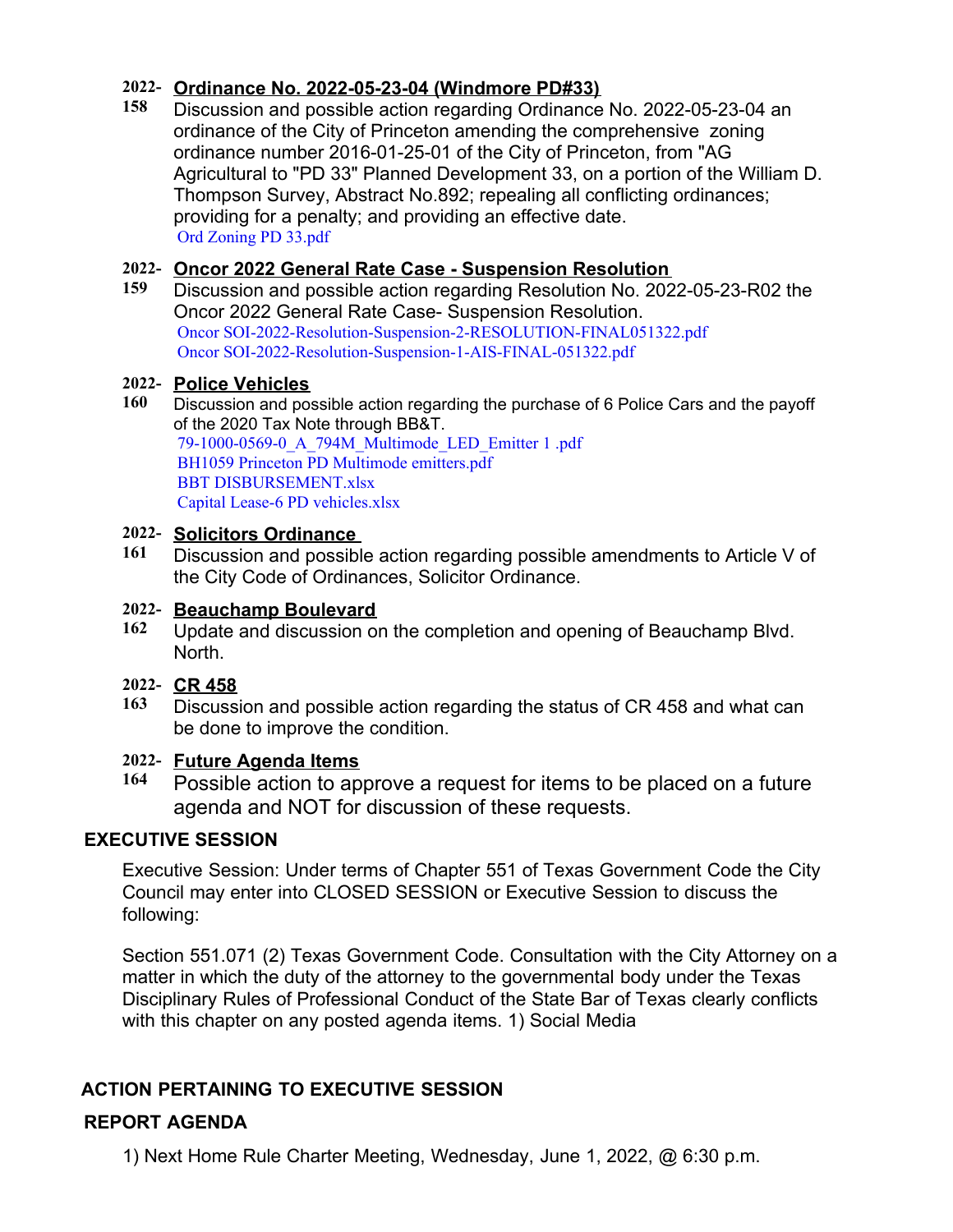# **2022- Ordinance No. 2022-05-23-04 (Windmore PD#33)**

**158** Discussion and possible action regarding Ordinance No. 2022-05-23-04 an ordinance of the City of Princeton amending the comprehensive zoning ordinance number 2016-01-25-01 of the City of Princeton, from "AG Agricultural to "PD 33" Planned Development 33, on a portion of the William D. Thompson Survey, Abstract No.892; repealing all conflicting ordinances; providing for a penalty; and providing an effective date. [Ord Zoning PD 33.pdf](https://legistarweb-production.s3.amazonaws.com/uploads/attachment/pdf/1387053/Ord_Zoning_PD_33.pdf)

## **2022- Oncor 2022 General Rate Case - Suspension Resolution**

**159** Discussion and possible action regarding Resolution No. 2022-05-23-R02 the Oncor 2022 General Rate Case- Suspension Resolution. [Oncor SOI-2022-Resolution-Suspension-2-RESOLUTION-FINAL051322.pdf](https://legistarweb-production.s3.amazonaws.com/uploads/attachment/pdf/1389050/Oncor_SOI-2022-Resolution-Suspension-2-RESOLUTION-FINAL051322.pdf) [Oncor SOI-2022-Resolution-Suspension-1-AIS-FINAL-051322.pdf](https://legistarweb-production.s3.amazonaws.com/uploads/attachment/pdf/1389057/Oncor_SOI-2022-Resolution-Suspension-1-AIS-FINAL-051322.pdf)

#### **2022- Police Vehicles**

**160** Discussion and possible action regarding the purchase of 6 Police Cars and the payoff of the 2020 Tax Note through BB&T. [79-1000-0569-0\\_A\\_794M\\_Multimode\\_LED\\_Emitter 1 .pdf](https://legistarweb-production.s3.amazonaws.com/uploads/attachment/pdf/1389031/79-1000-0569-0_A_794M_Multimode_LED_Emitter_1_.pdf) [BH1059 Princeton PD Multimode emitters.pdf](https://legistarweb-production.s3.amazonaws.com/uploads/attachment/pdf/1389032/BH1059_Princeton_PD_Multimode_emitters.pdf) [BBT DISBURSEMENT.xlsx](https://legistarweb-production.s3.amazonaws.com/uploads/attachment/pdf/1389033/BBT_DISBURSEMENT.pdf) [Capital Lease-6 PD vehicles.xlsx](https://legistarweb-production.s3.amazonaws.com/uploads/attachment/pdf/1389034/Capital_Lease-6_PD_vehicles.pdf)

#### **2022- Solicitors Ordinance**

**161** Discussion and possible action regarding possible amendments to Article V of the City Code of Ordinances, Solicitor Ordinance.

#### **2022- Beauchamp Boulevard**

- **162** Update and discussion on the completion and opening of Beauchamp Blvd. North.
- **2022- CR 458**
- **163** Discussion and possible action regarding the status of CR 458 and what can be done to improve the condition.

## **2022- Future Agenda Items**

**164** Possible action to approve a request for items to be placed on a future agenda and NOT for discussion of these requests.

## **EXECUTIVE SESSION**

Executive Session: Under terms of Chapter 551 of Texas Government Code the City Council may enter into CLOSED SESSION or Executive Session to discuss the following:

Section 551.071 (2) Texas Government Code. Consultation with the City Attorney on a matter in which the duty of the attorney to the governmental body under the Texas Disciplinary Rules of Professional Conduct of the State Bar of Texas clearly conflicts with this chapter on any posted agenda items. 1) Social Media

# **ACTION PERTAINING TO EXECUTIVE SESSION**

# **REPORT AGENDA**

1) Next Home Rule Charter Meeting, Wednesday, June 1, 2022, @ 6:30 p.m.